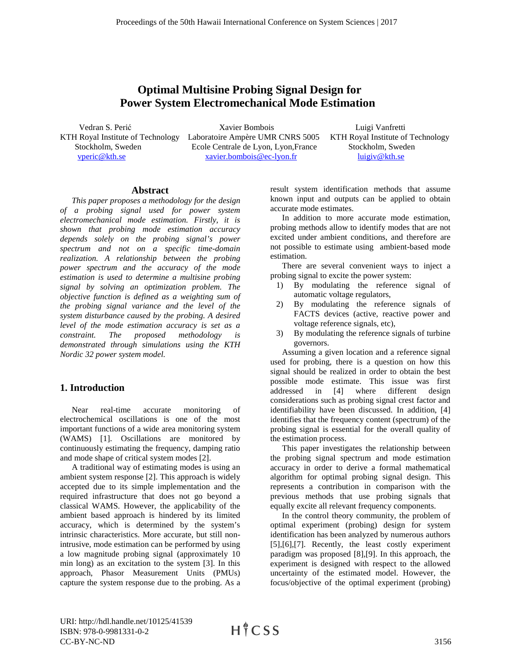# **Optimal Multisine Probing Signal Design for Power System Electromechanical Mode Estimation**

 Vedran S. Perić Xavier Bombois Luigi Vanfretti KTH Royal Institute of Technology Laboratoire Ampère UMR CNRS 5005 KTH Royal Institute of Technology Stockholm, Sweden Ecole Centrale de Lyon, Lyon, France Stockholm, Sweden vperic @ kth.se  $x$  avier.bombois @ ec-lyon.fr  $\frac{1}{2}$  luigiv @ kth.se xavier.bombois@ec-lyon.fr

### **Abstract**

*This paper proposes a methodology for the design of a probing signal used for power system electromechanical mode estimation. Firstly, it is shown that probing mode estimation accuracy depends solely on the probing signal's power spectrum and not on a specific time-domain realization. A relationship between the probing power spectrum and the accuracy of the mode estimation is used to determine a multisine probing signal by solving an optimization problem. The objective function is defined as a weighting sum of the probing signal variance and the level of the system disturbance caused by the probing. A desired level of the mode estimation accuracy is set as a constraint. The proposed methodology is demonstrated through simulations using the KTH Nordic 32 power system model.*

# **1. Introduction**

Near real-time accurate monitoring of electrochemical oscillations is one of the most important functions of a wide area monitoring system (WAMS) [\[1\].](#page--1-0) Oscillations are monitored by continuously estimating the frequency, damping ratio and mode shape of critical system modes [\[2\].](#page--1-1)

A traditional way of estimating modes is using an ambient system response [\[2\].](#page--1-1) This approach is widely accepted due to its simple implementation and the required infrastructure that does not go beyond a classical WAMS. However, the applicability of the ambient based approach is hindered by its limited accuracy, which is determined by the system's intrinsic characteristics. More accurate, but still nonintrusive, mode estimation can be performed by using a low magnitude probing signal (approximately 10 min long) as an excitation to the system [\[3\].](#page--1-2) In this approach, Phasor Measurement Units (PMUs) capture the system response due to the probing. As a

result system identification methods that assume known input and outputs can be applied to obtain accurate mode estimates.

In addition to more accurate mode estimation, probing methods allow to identify modes that are not excited under ambient conditions, and therefore are not possible to estimate using ambient-based mode estimation.

There are several convenient ways to inject a probing signal to excite the power system:

- 1) By modulating the reference signal of automatic voltage regulators,
- 2) By modulating the reference signals of FACTS devices (active, reactive power and voltage reference signals, etc),
- 3) By modulating the reference signals of turbine governors.

Assuming a given location and a reference signal used for probing, there is a question on how this signal should be realized in order to obtain the best possible mode estimate. This issue was first addressed in [\[4\]](#page--1-3) where different design considerations such as probing signal crest factor and identifiability have been discussed. In addition, [\[4\]](#page--1-3) identifies that the frequency content (spectrum) of the probing signal is essential for the overall quality of the estimation process.

This paper investigates the relationship between the probing signal spectrum and mode estimation accuracy in order to derive a formal mathematical algorithm for optimal probing signal design. This represents a contribution in comparison with the previous methods that use probing signals that equally excite all relevant frequency components.

In the control theory community, the problem of optimal experiment (probing) design for system identification has been analyzed by numerous authors [\[5\],](#page--1-4)[\[6\]](#page--1-5)[,\[7\].](#page--1-6) Recently, the least costly experiment paradigm was proposed [\[8\]](#page--1-7)[,\[9\].](#page--1-8) In this approach, the experiment is designed with respect to the allowed uncertainty of the estimated model. However, the focus/objective of the optimal experiment (probing)

URI: http://hdl.handle.net/10125/41539 ISBN: 978-0-9981331-0-2 CC-BY-NC-ND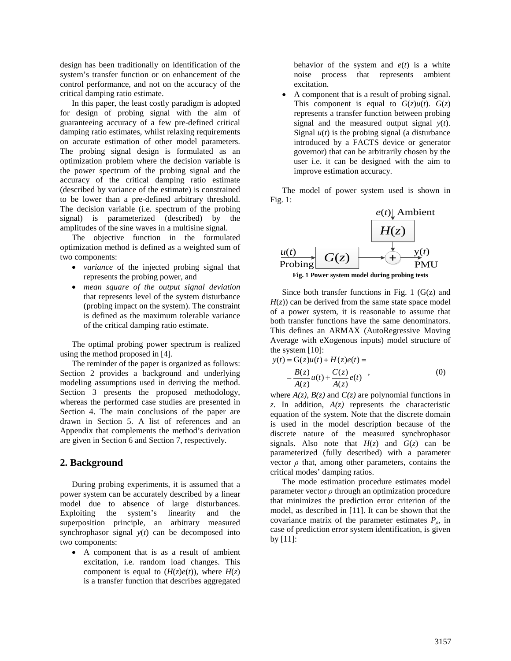design has been traditionally on identification of the system's transfer function or on enhancement of the control performance, and not on the accuracy of the critical damping ratio estimate.

In this paper, the least costly paradigm is adopted for design of probing signal with the aim of guaranteeing accuracy of a few pre-defined critical damping ratio estimates, whilst relaxing requirements on accurate estimation of other model parameters. The probing signal design is formulated as an optimization problem where the decision variable is the power spectrum of the probing signal and the accuracy of the critical damping ratio estimate (described by variance of the estimate) is constrained to be lower than a pre-defined arbitrary threshold. The decision variable (i.e. spectrum of the probing signal) is parameterized (described) by the amplitudes of the sine waves in a multisine signal.

The objective function in the formulated optimization method is defined as a weighted sum of two components:

- *variance* of the injected probing signal that represents the probing power, and
- *mean square of the output signal deviation* that represents level of the system disturbance (probing impact on the system). The constraint is defined as the maximum tolerable variance of the critical damping ratio estimate.

The optimal probing power spectrum is realized using the method proposed in [\[4\].](#page--1-3)

The reminder of the paper is organized as follows: Section 2 provides a background and underlying modeling assumptions used in deriving the method. Section 3 presents the proposed methodology, whereas the performed case studies are presented in Section 4. The main conclusions of the paper are drawn in Section 5. A list of references and an Appendix that complements the method's derivation are given in Section 6 and Section 7, respectively.

### **2. Background**

During probing experiments, it is assumed that a power system can be accurately described by a linear model due to absence of large disturbances. Exploiting the system's linearity and the superposition principle, an arbitrary measured synchrophasor signal *y*(*t*) can be decomposed into two components:

• A component that is as a result of ambient excitation, i.e. random load changes. This component is equal to  $(H(z)e(t))$ , where  $H(z)$ is a transfer function that describes aggregated behavior of the system and  $e(t)$  is a white noise process that represents ambient excitation.

• A component that is a result of probing signal. This component is equal to  $G(z)u(t)$ .  $G(z)$ represents a transfer function between probing signal and the measured output signal  $y(t)$ . Signal  $u(t)$  is the probing signal (a disturbance introduced by a FACTS device or generator governor) that can be arbitrarily chosen by the user i.e. it can be designed with the aim to improve estimation accuracy.

The model of power system used is shown in [Fig.](#page-1-0) 1:



**Fig. 1 Power system model during probing tests**

<span id="page-1-0"></span>Since both transfer functions in [Fig. 1](#page-1-0)  $(G(z))$  and  $H(z)$ ) can be derived from the same state space model of a power system, it is reasonable to assume that both transfer functions have the same denominators. This defines an ARMAX (AutoRegressive Moving Average with eXogenous inputs) model structure of the system [\[10\]:](#page--1-9)

$$
y(t) = G(z)u(t) + H(z)e(t) =
$$
  
= 
$$
\frac{B(z)}{A(z)}u(t) + \frac{C(z)}{A(z)}e(t)
$$
 (0)

where  $A(z)$ ,  $B(z)$  and  $C(z)$  are polynomial functions in *z*. In addition,  $A(z)$  represents the characteristic equation of the system. Note that the discrete domain is used in the model description because of the discrete nature of the measured synchrophasor signals. Also note that  $H(z)$  and  $G(z)$  can be parameterized (fully described) with a parameter vector  $\rho$  that, among other parameters, contains the critical modes' damping ratios.

The mode estimation procedure estimates model parameter vector *ρ* through an optimization procedure that minimizes the prediction error criterion of the model, as described in [\[11\].](#page--1-10) It can be shown that the covariance matrix of the parameter estimates  $P_\rho$ , in case of prediction error system identification, is given b[y \[11\]:](#page--1-10)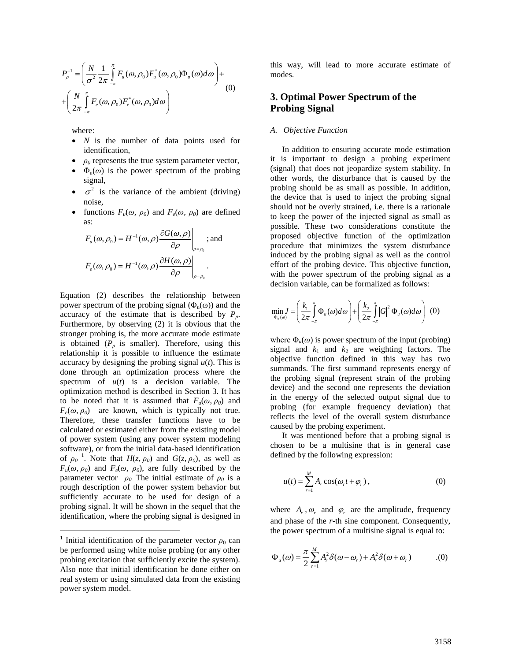$$
P_{\rho}^{-1} = \left(\frac{N}{\sigma^2} \frac{1}{2\pi} \int_{-\pi}^{\pi} F_u(\omega, \rho_0) F_u^*(\omega, \rho_0) \Phi_u(\omega) d\omega\right) + \left(\frac{N}{2\pi} \int_{-\pi}^{\pi} F_e(\omega, \rho_0) F_e^*(\omega, \rho_0) d\omega\right)
$$
(0)

where:

- *N* is the number of data points used for identification,
- $\rho_0$  represents the true system parameter vector,
- $\Phi_{\theta}(\omega)$  is the power spectrum of the probing signal,
- $\sigma^2$  is the variance of the ambient (driving) noise,
- functions  $F_u(\omega, \rho_0)$  and  $F_e(\omega, \rho_0)$  are defined as:

$$
F_u(\omega, \rho_0) = H^{-1}(\omega, \rho) \frac{\partial G(\omega, \rho)}{\partial \rho}\Big|_{\rho = \rho_0}; \text{ and}
$$
  

$$
F_e(\omega, \rho_0) = H^{-1}(\omega, \rho) \frac{\partial H(\omega, \rho)}{\partial \rho}\Big|_{\rho = \rho_0}.
$$

Equation (2) describes the relationship between power spectrum of the probing signal  $(\Phi_u(\omega))$  and the accuracy of the estimate that is described by *Pρ*. Furthermore, by observing (2) it is obvious that the stronger probing is, the more accurate mode estimate is obtained  $(P_\rho$  is smaller). Therefore, using this relationship it is possible to influence the estimate accuracy by designing the probing signal  $u(t)$ . This is done through an optimization process where the spectrum of  $u(t)$  is a decision variable. The optimization method is described in Section 3. It has to be noted that it is assumed that  $F_u(\omega, \rho_0)$  and  $F_e(\omega, \rho_0)$  are known, which is typically not true. Therefore, these transfer functions have to be calculated or estimated either from the existing model of power system (using any power system modeling software), or from the initial data-based identification of  $\rho_0$ <sup>[1](#page-2-0)</sup>. Note that  $H(z, \rho_0)$  and  $G(z, \rho_0)$ , as well as  $F_u(\omega, \rho_0)$  and  $F_e(\omega, \rho_0)$ , are fully described by the parameter vector  $\rho_0$ . The initial estimate of  $\rho_0$  is a rough description of the power system behavior but sufficiently accurate to be used for design of a probing signal. It will be shown in the sequel that the identification, where the probing signal is designed in

this way, will lead to more accurate estimate of modes.

# **3. Optimal Power Spectrum of the Probing Signal**

#### *A. Objective Function*

In addition to ensuring accurate mode estimation it is important to design a probing experiment (signal) that does not jeopardize system stability. In other words, the disturbance that is caused by the probing should be as small as possible. In addition, the device that is used to inject the probing signal should not be overly strained, i.e. there is a rationale to keep the power of the injected signal as small as possible. These two considerations constitute the proposed objective function of the optimization procedure that minimizes the system disturbance induced by the probing signal as well as the control effort of the probing device. This objective function, with the power spectrum of the probing signal as a decision variable, can be formalized as follows:

$$
\min_{\Phi_u(\omega)} J = \left(\frac{k_1}{2\pi} \int_{-\pi}^{\pi} \Phi_u(\omega) d\omega\right) + \left(\frac{k_2}{2\pi} \int_{-\pi}^{\pi} |G|^2 \Phi_u(\omega) d\omega\right) (0)
$$

where  $\Phi_u(\omega)$  is power spectrum of the input (probing) signal and  $k_1$  and  $k_2$  are weighting factors. The objective function defined in this way has two summands. The first summand represents energy of the probing signal (represent strain of the probing device) and the second one represents the deviation in the energy of the selected output signal due to probing (for example frequency deviation) that reflects the level of the overall system disturbance caused by the probing experiment.

It was mentioned before that a probing signal is chosen to be a multisine that is in general case defined by the following expression:

$$
u(t) = \sum_{r=1}^{M} A_r \cos(\omega_r t + \varphi_r), \qquad (0)
$$

where  $A_r$ ,  $\omega_r$  and  $\varphi_r$  are the amplitude, frequency and phase of the *r*-th sine component. Consequently, the power spectrum of a multisine signal is equal to:

$$
\Phi_u(\omega) = \frac{\pi}{2} \sum_{r=1}^M A_r^2 \delta(\omega - \omega_r) + A_r^2 \delta(\omega + \omega_r) \tag{0}
$$

<span id="page-2-0"></span><sup>&</sup>lt;sup>1</sup> Initial identification of the parameter vector  $\rho_0$  can be performed using white noise probing (or any other probing excitation that sufficiently excite the system). Also note that initial identification be done either on real system or using simulated data from the existing power system model.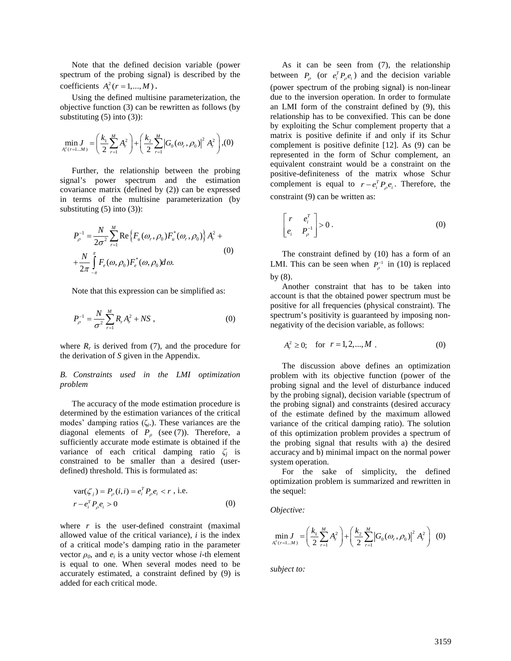Note that the defined decision variable (power spectrum of the probing signal) is described by the coefficients  $A_r^2$  ( $r = 1, ..., M$ ).

Using the defined multisine parameterization, the objective function (3) can be rewritten as follows (by substituting  $(5)$  into  $(3)$ :

$$
\min_{A_r^2(r=1...M)} J = \left(\frac{k_1}{2}\sum_{r=1}^M A_r^2\right) + \left(\frac{k_2}{2}\sum_{r=1}^M \left|G_0(\omega_r,\rho_0)\right|^2 A_r^2\right), (0)
$$

Further, the relationship between the probing signal's power spectrum and the estimation covariance matrix (defined by (2)) can be expressed in terms of the multisine parameterization (by substituting  $(5)$  into  $(3)$ :

$$
P_{\rho}^{-1} = \frac{N}{2\sigma^2} \sum_{r=1}^{M} \text{Re} \{ F_u(\omega_r, \rho_0) F_u^*(\omega_r, \rho_0) \} A_r^2 +
$$
  
+ 
$$
\frac{N}{2\pi} \int_{-\pi}^{\pi} F_e(\omega, \rho_0) F_e^*(\omega, \rho_0) d\omega.
$$
 (0)

Note that this expression can be simplified as:

$$
P_{\rho}^{-1} = \frac{N}{\sigma^2} \sum_{r=1}^{M} R_r A_r^2 + NS \,, \tag{0}
$$

where  $R_r$  is derived from (7), and the procedure for the derivation of *S* given in the Appendix.

#### *B. Constraints used in the LMI optimization problem*

The accuracy of the mode estimation procedure is determined by the estimation variances of the critical modes' damping ratios (ζ*i*.). These variances are the diagonal elements of  $P_\rho$  (see (7)). Therefore, a sufficiently accurate mode estimate is obtained if the variance of each critical damping ratio *ζ<sup>j</sup>* is constrained to be smaller than a desired (userdefined) threshold. This is formulated as:

$$
\begin{aligned} \n\text{var}(\zeta_j) &= P_{\rho}(i, i) = e_i^T P_{\rho} e_i < r \text{ , i.e.} \\ \nr - e_i^T P_{\rho} e_i > 0 \tag{0} \n\end{aligned}
$$

where *r* is the user-defined constraint (maximal allowed value of the critical variance), *i* is the index of a critical mode's damping ratio in the parameter vector  $\rho_0$ , and  $e_i$  is a unity vector whose *i*-th element is equal to one. When several modes need to be accurately estimated, a constraint defined by (9) is added for each critical mode.

As it can be seen from (7), the relationship between  $P_{\rho}$  (or  $e_i^T P_{\rho} e_i$ ) and the decision variable (power spectrum of the probing signal) is non-linear due to the inversion operation. In order to formulate an LMI form of the constraint defined by (9), this relationship has to be convexified. This can be done by exploiting the Schur complement property that a matrix is positive definite if and only if its Schur complement is positive definite [\[12\].](#page--1-11) As (9) can be represented in the form of Schur complement, an equivalent constraint would be a constraint on the positive-definiteness of the matrix whose Schur complement is equal to  $r - e_i^T P_\rho e_i$ . Therefore, the constraint (9) can be written as:

$$
\begin{bmatrix} r & e_i^T \ e_i & P_{\rho}^{-1} \end{bmatrix} > 0.
$$
 (0)

The constraint defined by (10) has a form of an LMI. This can be seen when  $P_{\rho}^{-1}$  in (10) is replaced by (8).

Another constraint that has to be taken into account is that the obtained power spectrum must be positive for all frequencies (physical constraint). The spectrum's positivity is guaranteed by imposing nonnegativity of the decision variable, as follows:

$$
A_r^2 \ge 0; \quad \text{for} \quad r = 1, 2, ..., M \tag{0}
$$

The discussion above defines an optimization problem with its objective function (power of the probing signal and the level of disturbance induced by the probing signal), decision variable (spectrum of the probing signal) and constraints (desired accuracy of the estimate defined by the maximum allowed variance of the critical damping ratio). The solution of this optimization problem provides a spectrum of the probing signal that results with a) the desired accuracy and b) minimal impact on the normal power system operation.

For the sake of simplicity, the defined optimization problem is summarized and rewritten in the sequel:

*Objective:*

$$
\min_{A_r^2(r=1...M)} J = \left(\frac{k_1}{2}\sum_{r=1}^M A_r^2\right) + \left(\frac{k_2}{2}\sum_{r=1}^M \left|G_0(\omega_r, \rho_0)\right|^2 A_r^2\right) (0)
$$

*subject to:*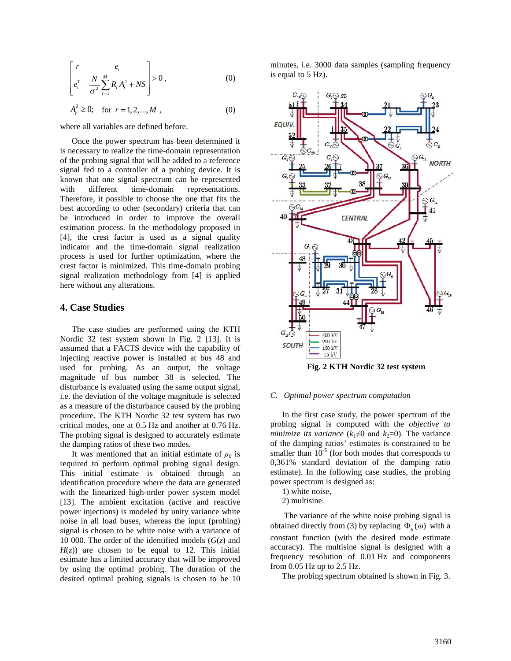$$
\begin{bmatrix} r & e_i \\ e_i^T & \frac{N}{\sigma^2} \sum_{r=1}^M R_r A_r^2 + N S \end{bmatrix} > 0, \qquad (0)
$$

$$
A_r^2 \ge 0; \quad \text{for } r = 1, 2, \dots, M \tag{0}
$$

where all variables are defined before.

Once the power spectrum has been determined it is necessary to realize the time-domain representation of the probing signal that will be added to a reference signal fed to a controller of a probing device. It is known that one signal spectrum can be represented with different time-domain representations. Therefore, it possible to choose the one that fits the best according to other (secondary) criteria that can be introduced in order to improve the overall estimation process. In the methodology proposed in [\[4\],](#page--1-3) the crest factor is used as a signal quality indicator and the time-domain signal realization process is used for further optimization, where the crest factor is minimized. This time-domain probing signal realization methodology from [\[4\]](#page--1-3) is applied here without any alterations.

# **4. Case Studies**

The case studies are performed using the KTH Nordic 32 test system shown in [Fig. 2](#page-4-0) [\[13\].](#page--1-12) It is assumed that a FACTS device with the capability of injecting reactive power is installed at bus 48 and used for probing. As an output, the voltage magnitude of bus number 38 is selected. The disturbance is evaluated using the same output signal, i.e. the deviation of the voltage magnitude is selected as a measure of the disturbance caused by the probing procedure. The KTH Nordic 32 test system has two critical modes, one at 0.5 Hz and another at 0.76 Hz. The probing signal is designed to accurately estimate the damping ratios of these two modes.

It was mentioned that an initial estimate of  $\rho_0$  is required to perform optimal probing signal design. This initial estimate is obtained through an identification procedure where the data are generated with the linearized high-order power system model [\[13\].](#page--1-12) The ambient excitation (active and reactive power injections) is modeled by unity variance white noise in all load buses, whereas the input (probing) signal is chosen to be white noise with a variance of 10 000. The order of the identified models (*G*(*z*) and  $H(z)$  are chosen to be equal to 12. This initial estimate has a limited accuracy that will be improved by using the optimal probing. The duration of the desired optimal probing signals is chosen to be 10 minutes, i.e. 3000 data samples (sampling frequency is equal to 5 Hz).



**Fig. 2 KTH Nordic 32 test system**

#### <span id="page-4-0"></span>*C. Optimal power spectrum computation*

In the first case study, the power spectrum of the probing signal is computed with the *objective to minimize its variance* ( $k_1 \neq 0$  and  $k_2 = 0$ ). The variance of the damping ratios' estimates is constrained to be smaller than  $10^{-5}$  (for both modes that corresponds to 0,361% standard deviation of the damping ratio estimate). In the following case studies, the probing power spectrum is designed as:

1) white noise,

2) multisine.

The variance of the white noise probing signal is obtained directly from (3) by replacing  $\Phi_u(\omega)$  with a constant function (with the desired mode estimate accuracy). The multisine signal is designed with a frequency resolution of 0.01 Hz and components from 0.05 Hz up to 2.5 Hz.

The probing spectrum obtained is shown in [Fig. 3.](#page--1-13)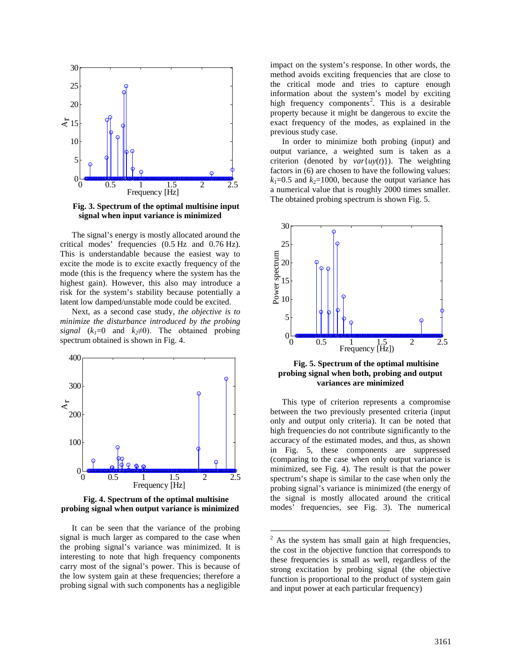

<span id="page-5-2"></span>**Fig. 3. Spectrum of the optimal multisine input signal when input variance is minimized**

The signal's energy is mostly allocated around the critical modes' frequencies (0.5 Hz and 0.76 Hz). This is understandable because the easiest way to excite the mode is to excite exactly frequency of the mode (this is the frequency where the system has the highest gain). However, this also may introduce a risk for the system's stability because potentially a latent low damped/unstable mode could be excited.

Next, as a second case study, *the objective is to minimize the disturbance introduced by the probing signal*  $(k_1=0$  and  $k_2\neq 0$ ). The obtained probing spectrum obtained is shown in [Fig. 4.](#page-5-0)



<span id="page-5-0"></span>**Fig. 4. Spectrum of the optimal multisine probing signal when output variance is minimized**

<span id="page-5-3"></span>It can be seen that the variance of the probing signal is much larger as compared to the case when the probing signal's variance was minimized. It is interesting to note that high frequency components carry most of the signal's power. This is because of the low system gain at these frequencies; therefore a probing signal with such components has a negligible

impact on the system's response. In other words, the method avoids exciting frequencies that are close to the critical mode and tries to capture enough information about the system's model by exciting high frequency components<sup>[2](#page-5-3)</sup>. This is a desirable property because it might be dangerous to excite the exact frequency of the modes, as explained in the previous study case.

In order to minimize both probing (input) and output variance, a weighted sum is taken as a criterion (denoted by  $var\{uv(t)\}\)$ ). The weighting factors in (6) are chosen to have the following values:  $k_1=0.5$  and  $k_2=1000$ , because the output variance has a numerical value that is roughly 2000 times smaller. The obtained probing spectrum is shown [Fig. 5.](#page-5-1)



<span id="page-5-1"></span>**Fig. 5. Spectrum of the optimal multisine probing signal when both, probing and output variances are minimized**

This type of criterion represents a compromise between the two previously presented criteria (input only and output only criteria). It can be noted that high frequencies do not contribute significantly to the accuracy of the estimated modes, and thus, as shown in [Fig. 5,](#page-5-1) these components are suppressed (comparing to the case when only output variance is minimized, see [Fig. 4\)](#page-5-0). The result is that the power spectrum's shape is similar to the case when only the probing signal's variance is minimized (the energy of the signal is mostly allocated around the critical modes' frequencies, see [Fig. 3\)](#page-5-2). The numerical

 $2$  As the system has small gain at high frequencies, the cost in the objective function that corresponds to these frequencies is small as well, regardless of the strong excitation by probing signal (the objective function is proportional to the product of system gain and input power at each particular frequency)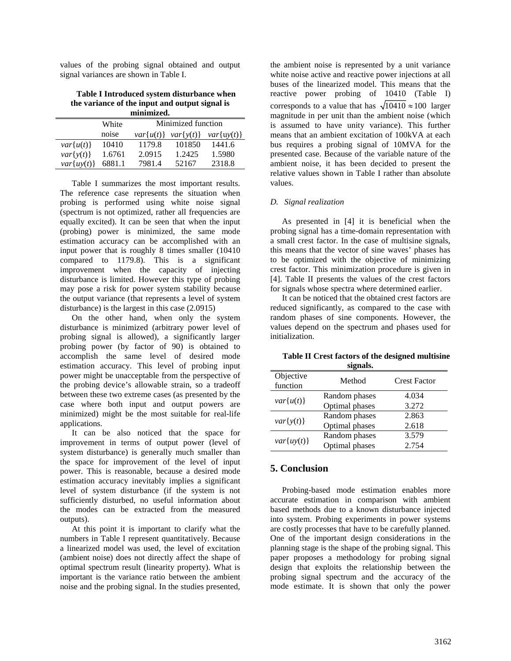values of the probing signal obtained and output signal variances are shown in [Table I.](#page-6-0)

<span id="page-6-0"></span>**Table I Introduced system disturbance when the variance of the input and output signal is minimized.**

|                 | White  | Minimized function |             |                 |
|-----------------|--------|--------------------|-------------|-----------------|
|                 | noise  | $var{u(t)}$        | $var{y(t)}$ | $var\{uy(t)\}\$ |
| $var{u(t)}$     | 10410  | 1179.8             | 101850      | 1441.6          |
| $var\{y(t)\}\$  | 1.6761 | 2.0915             | 1.2425      | 1.5980          |
| $var\{uv(t)\}\$ | 6881.1 | 7981.4             | 52167       | 2318.8          |
|                 |        |                    |             |                 |

[Table I](#page-6-0) summarizes the most important results. The reference case represents the situation when probing is performed using white noise signal (spectrum is not optimized, rather all frequencies are equally excited). It can be seen that when the input (probing) power is minimized, the same mode estimation accuracy can be accomplished with an input power that is roughly 8 times smaller (10410 compared to 1179.8). This is a significant improvement when the capacity of injecting disturbance is limited. However this type of probing may pose a risk for power system stability because the output variance (that represents a level of system disturbance) is the largest in this case (2.0915)

On the other hand, when only the system disturbance is minimized (arbitrary power level of probing signal is allowed), a significantly larger probing power (by factor of 90) is obtained to accomplish the same level of desired mode estimation accuracy. This level of probing input power might be unacceptable from the perspective of the probing device's allowable strain, so a tradeoff between these two extreme cases (as presented by the case where both input and output powers are minimized) might be the most suitable for real-life applications.

It can be also noticed that the space for improvement in terms of output power (level of system disturbance) is generally much smaller than the space for improvement of the level of input power. This is reasonable, because a desired mode estimation accuracy inevitably implies a significant level of system disturbance (if the system is not sufficiently disturbed, no useful information about the modes can be extracted from the measured outputs).

At this point it is important to clarify what the numbers in [Table I](#page-6-0) represent quantitatively. Because a linearized model was used, the level of excitation (ambient noise) does not directly affect the shape of optimal spectrum result (linearity property). What is important is the variance ratio between the ambient noise and the probing signal. In the studies presented,

the ambient noise is represented by a unit variance white noise active and reactive power injections at all buses of the linearized model. This means that the reactive power probing of 10410 [\(Table I\)](#page-6-0) corresponds to a value that has  $\sqrt{10410} \approx 100$  larger magnitude in per unit than the ambient noise (which is assumed to have unity variance). This further means that an ambient excitation of 100kVA at each bus requires a probing signal of 10MVA for the presented case. Because of the variable nature of the ambient noise, it has been decided to present the relative values shown in [Table I](#page-6-0) rather than absolute values.

#### *D. Signal realization*

As presented in [\[4\]](#page--1-3) it is beneficial when the probing signal has a time-domain representation with a small crest factor. In the case of multisine signals, this means that the vector of sine waves' phases has to be optimized with the objective of minimizing crest factor. This minimization procedure is given in [\[4\].](#page--1-3) Table II presents the values of the crest factors for signals whose spectra where determined earlier.

It can be noticed that the obtained crest factors are reduced significantly, as compared to the case with random phases of sine components. However, the values depend on the spectrum and phases used for initialization.

**Table II Crest factors of the designed multisine signals.**

| Objective<br>function | Method         | <b>Crest Factor</b> |
|-----------------------|----------------|---------------------|
|                       | Random phases  | 4.034               |
| $var{u(t)}$           | Optimal phases | 3.272               |
|                       | Random phases  | 2.863               |
| $var{y(t)}$           | Optimal phases | 2.618               |
|                       | Random phases  | 3.579               |
| $var\{uy(t)\}\$       | Optimal phases | 2.754               |

### **5. Conclusion**

Probing-based mode estimation enables more accurate estimation in comparison with ambient based methods due to a known disturbance injected into system. Probing experiments in power systems are costly processes that have to be carefully planned. One of the important design considerations in the planning stage is the shape of the probing signal. This paper proposes a methodology for probing signal design that exploits the relationship between the probing signal spectrum and the accuracy of the mode estimate. It is shown that only the power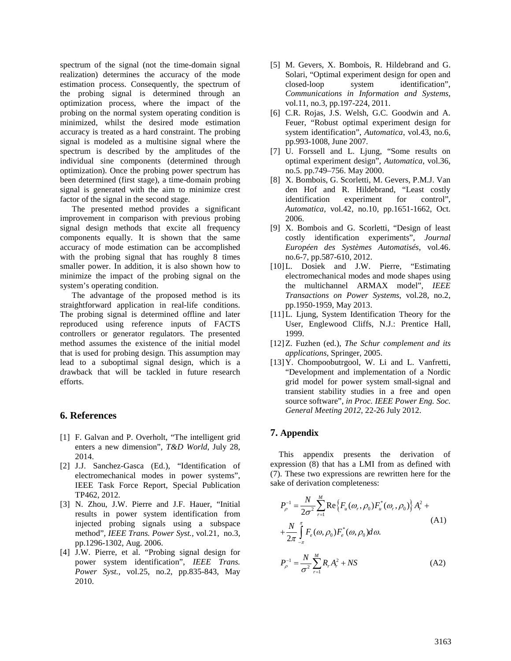spectrum of the signal (not the time-domain signal realization) determines the accuracy of the mode estimation process. Consequently, the spectrum of the probing signal is determined through an optimization process, where the impact of the probing on the normal system operating condition is minimized, whilst the desired mode estimation accuracy is treated as a hard constraint. The probing signal is modeled as a multisine signal where the spectrum is described by the amplitudes of the individual sine components (determined through optimization). Once the probing power spectrum has been determined (first stage), a time-domain probing signal is generated with the aim to minimize crest factor of the signal in the second stage.

The presented method provides a significant improvement in comparison with previous probing signal design methods that excite all frequency components equally. It is shown that the same accuracy of mode estimation can be accomplished with the probing signal that has roughly 8 times smaller power. In addition, it is also shown how to minimize the impact of the probing signal on the system's operating condition.

The advantage of the proposed method is its straightforward application in real-life conditions. The probing signal is determined offline and later reproduced using reference inputs of FACTS controllers or generator regulators. The presented method assumes the existence of the initial model that is used for probing design. This assumption may lead to a suboptimal signal design, which is a drawback that will be tackled in future research efforts.

# **6. References**

- [1] F. Galvan and P. Overholt, "The intelligent grid enters a new dimension", *T&D World*, July 28, 2014.
- [2] J.J. Sanchez-Gasca (Ed.), "Identification of electromechanical modes in power systems", IEEE Task Force Report, Special Publication TP462, 2012.
- [3] N. Zhou, J.W. Pierre and J.F. Hauer, "Initial results in power system identification from injected probing signals using a subspace method", *IEEE Trans. Power Syst.*, vol.21, no.3, pp.1296-1302, Aug. 2006.
- [4] J.W. Pierre, et al. "Probing signal design for power system identification", *IEEE Trans. Power Syst.*, vol.25, no.2, pp.835-843, May 2010.
- [5] M. Gevers, X. Bombois, R. Hildebrand and G. Solari, "Optimal experiment design for open and closed-loop system identification", *Communications in Information and Systems,* vol.11, no.3, pp.197-224, 2011.
- [6] C.R. Rojas, J.S. Welsh, G.C. Goodwin and A. Feuer, "Robust optimal experiment design for system identification", *Automatica*, vol.43, no.6, pp.993-1008, June 2007.
- [7] U. Forssell and L. Ljung, "Some results on optimal experiment design", *Automatica*, vol.36, no.5. pp.749–756. May 2000.
- [8] X. Bombois, G. Scorletti, M. Gevers, P.M.J. Van den Hof and R. Hildebrand, "Least costly identification experiment for control", *Automatica*, vol.42, no.10, pp.1651-1662, Oct. 2006.
- [9] X. Bombois and G. Scorletti, "Design of least costly identification experiments", *Journal Européen des Systèmes Automatisés*, vol.46. no.6-7, pp.587-610, 2012.
- [10]L. Dosiek and J.W. Pierre, "Estimating electromechanical modes and mode shapes using the multichannel ARMAX model", *IEEE Transactions on Power Systems*, vol.28, no.2, pp.1950-1959, May 2013.
- [11]L. Ljung, System Identification Theory for the User, Englewood Cliffs, N.J.: Prentice Hall, 1999.
- [12]Z. Fuzhen (ed.), *The Schur complement and its applications*, Springer, 2005.
- [13]Y. Chompoobutrgool, W. Li and L. Vanfretti, "Development and implementation of a Nordic grid model for power system small-signal and transient stability studies in a free and open source software", *in Proc. IEEE Power Eng. Soc. General Meeting 2012*, 22-26 July 2012.

# **7. Appendix**

This appendix presents the derivation of expression (8) that has a LMI from as defined with (7). These two expressions are rewritten here for the sake of derivation completeness:

$$
P_{\rho}^{-1} = \frac{N}{2\sigma^2} \sum_{r=1}^{M} \text{Re} \{ F_u(\omega_r, \rho_0) F_u^*(\omega_r, \rho_0) \} A_r^2 +
$$
  
+ 
$$
\frac{N}{2\pi} \int_{-\pi}^{\pi} F_e(\omega, \rho_0) F_e^*(\omega, \rho_0) d\omega.
$$
 (A1)

$$
P_{\rho}^{-1} = \frac{N}{\sigma^2} \sum_{r=1}^{M} R_r A_r^2 + NS \tag{A2}
$$